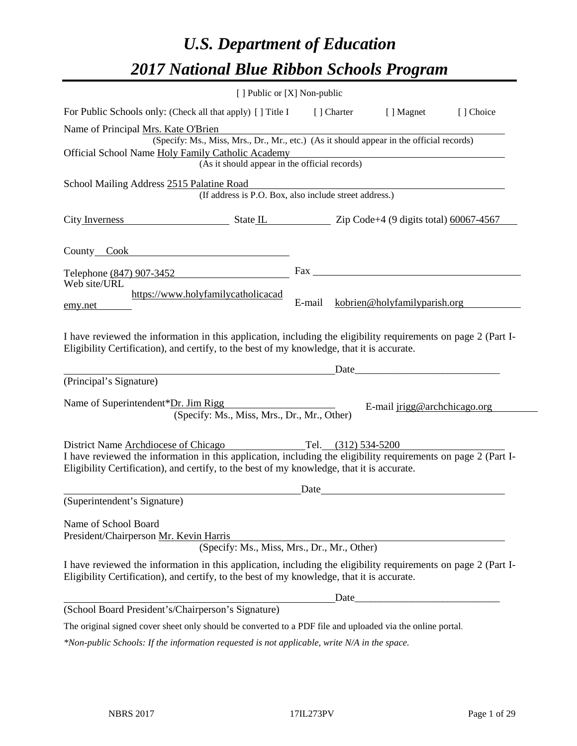# *U.S. Department of Education 2017 National Blue Ribbon Schools Program*

|                                                                                                                                                                                                                                         | [ ] Public or [X] Non-public                                                             |        |                     |                                                       |           |
|-----------------------------------------------------------------------------------------------------------------------------------------------------------------------------------------------------------------------------------------|------------------------------------------------------------------------------------------|--------|---------------------|-------------------------------------------------------|-----------|
| For Public Schools only: (Check all that apply) [] Title I                                                                                                                                                                              |                                                                                          |        | [ ] Charter         | [ ] Magnet                                            | [] Choice |
| Name of Principal Mrs. Kate O'Brien                                                                                                                                                                                                     |                                                                                          |        |                     |                                                       |           |
|                                                                                                                                                                                                                                         | (Specify: Ms., Miss, Mrs., Dr., Mr., etc.) (As it should appear in the official records) |        |                     |                                                       |           |
| Official School Name Holy Family Catholic Academy                                                                                                                                                                                       |                                                                                          |        |                     |                                                       |           |
|                                                                                                                                                                                                                                         | (As it should appear in the official records)                                            |        |                     |                                                       |           |
| School Mailing Address 2515 Palatine Road                                                                                                                                                                                               | (If address is P.O. Box, also include street address.)                                   |        |                     |                                                       |           |
|                                                                                                                                                                                                                                         |                                                                                          |        |                     |                                                       |           |
| City Inverness State IL State IL Zip Code+4 (9 digits total) 60067-4567                                                                                                                                                                 |                                                                                          |        |                     |                                                       |           |
| County Cook County Cook                                                                                                                                                                                                                 |                                                                                          |        |                     |                                                       |           |
| Telephone (847) 907-3452                                                                                                                                                                                                                |                                                                                          |        |                     |                                                       |           |
| Web site/URL                                                                                                                                                                                                                            |                                                                                          |        |                     |                                                       |           |
|                                                                                                                                                                                                                                         | https://www.holyfamilycatholicacad                                                       | E-mail |                     | kobrien@holyfamilyparish.org                          |           |
| emy.net                                                                                                                                                                                                                                 |                                                                                          |        |                     |                                                       |           |
| I have reviewed the information in this application, including the eligibility requirements on page 2 (Part I-<br>Eligibility Certification), and certify, to the best of my knowledge, that it is accurate.<br>(Principal's Signature) |                                                                                          |        |                     | Date                                                  |           |
|                                                                                                                                                                                                                                         |                                                                                          |        |                     |                                                       |           |
| Name of Superintendent*Dr. Jim Rigg                                                                                                                                                                                                     |                                                                                          |        |                     | E-mail jrigg@archchicago.org                          |           |
|                                                                                                                                                                                                                                         | (Specify: Ms., Miss, Mrs., Dr., Mr., Other)                                              |        |                     |                                                       |           |
| District Name Archdiocese of Chicago                                                                                                                                                                                                    |                                                                                          |        | Tel. (312) 534-5200 |                                                       |           |
| I have reviewed the information in this application, including the eligibility requirements on page 2 (Part I-                                                                                                                          |                                                                                          |        |                     |                                                       |           |
| Eligibility Certification), and certify, to the best of my knowledge, that it is accurate.                                                                                                                                              |                                                                                          |        |                     |                                                       |           |
|                                                                                                                                                                                                                                         |                                                                                          | Date   |                     | <u> 1980 - Johann Stoff, fransk politik (d. 1980)</u> |           |
| (Superintendent's Signature)                                                                                                                                                                                                            |                                                                                          |        |                     |                                                       |           |
| Name of School Board                                                                                                                                                                                                                    |                                                                                          |        |                     |                                                       |           |
| President/Chairperson Mr. Kevin Harris                                                                                                                                                                                                  |                                                                                          |        |                     |                                                       |           |
|                                                                                                                                                                                                                                         | (Specify: Ms., Miss, Mrs., Dr., Mr., Other)                                              |        |                     |                                                       |           |
| I have reviewed the information in this application, including the eligibility requirements on page 2 (Part I-<br>Eligibility Certification), and certify, to the best of my knowledge, that it is accurate.                            |                                                                                          |        |                     |                                                       |           |
|                                                                                                                                                                                                                                         |                                                                                          |        |                     |                                                       |           |
| (School Board President's/Chairperson's Signature)                                                                                                                                                                                      |                                                                                          |        |                     |                                                       |           |
| The original signed cover sheet only should be converted to a PDF file and uploaded via the online portal.                                                                                                                              |                                                                                          |        |                     |                                                       |           |

*\*Non-public Schools: If the information requested is not applicable, write N/A in the space.*

 $\overline{\phantom{0}}$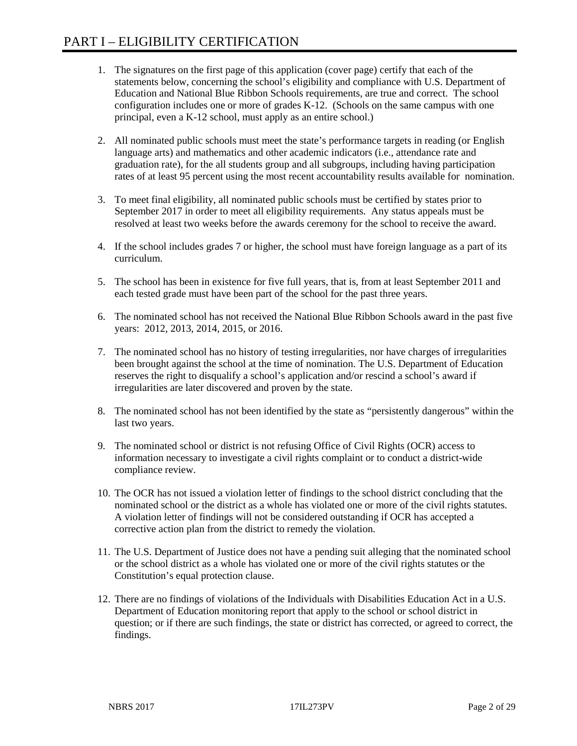- 1. The signatures on the first page of this application (cover page) certify that each of the statements below, concerning the school's eligibility and compliance with U.S. Department of Education and National Blue Ribbon Schools requirements, are true and correct. The school configuration includes one or more of grades K-12. (Schools on the same campus with one principal, even a K-12 school, must apply as an entire school.)
- 2. All nominated public schools must meet the state's performance targets in reading (or English language arts) and mathematics and other academic indicators (i.e., attendance rate and graduation rate), for the all students group and all subgroups, including having participation rates of at least 95 percent using the most recent accountability results available for nomination.
- 3. To meet final eligibility, all nominated public schools must be certified by states prior to September 2017 in order to meet all eligibility requirements. Any status appeals must be resolved at least two weeks before the awards ceremony for the school to receive the award.
- 4. If the school includes grades 7 or higher, the school must have foreign language as a part of its curriculum.
- 5. The school has been in existence for five full years, that is, from at least September 2011 and each tested grade must have been part of the school for the past three years.
- 6. The nominated school has not received the National Blue Ribbon Schools award in the past five years: 2012, 2013, 2014, 2015, or 2016.
- 7. The nominated school has no history of testing irregularities, nor have charges of irregularities been brought against the school at the time of nomination. The U.S. Department of Education reserves the right to disqualify a school's application and/or rescind a school's award if irregularities are later discovered and proven by the state.
- 8. The nominated school has not been identified by the state as "persistently dangerous" within the last two years.
- 9. The nominated school or district is not refusing Office of Civil Rights (OCR) access to information necessary to investigate a civil rights complaint or to conduct a district-wide compliance review.
- 10. The OCR has not issued a violation letter of findings to the school district concluding that the nominated school or the district as a whole has violated one or more of the civil rights statutes. A violation letter of findings will not be considered outstanding if OCR has accepted a corrective action plan from the district to remedy the violation.
- 11. The U.S. Department of Justice does not have a pending suit alleging that the nominated school or the school district as a whole has violated one or more of the civil rights statutes or the Constitution's equal protection clause.
- 12. There are no findings of violations of the Individuals with Disabilities Education Act in a U.S. Department of Education monitoring report that apply to the school or school district in question; or if there are such findings, the state or district has corrected, or agreed to correct, the findings.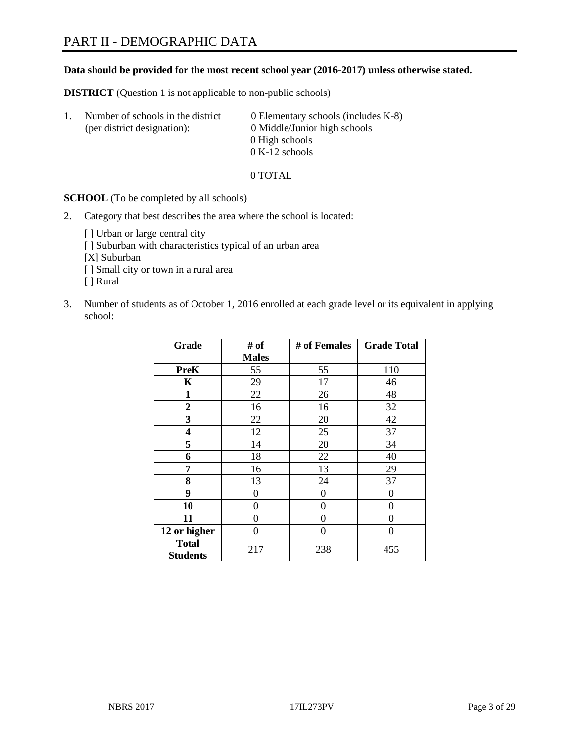#### **Data should be provided for the most recent school year (2016-2017) unless otherwise stated.**

**DISTRICT** (Question 1 is not applicable to non-public schools)

| -1. | Number of schools in the district<br>(per district designation): | $\underline{0}$ Elementary schools (includes K-8)<br>0 Middle/Junior high schools |
|-----|------------------------------------------------------------------|-----------------------------------------------------------------------------------|
|     |                                                                  | 0 High schools                                                                    |
|     |                                                                  | $0 K-12$ schools                                                                  |

0 TOTAL

**SCHOOL** (To be completed by all schools)

2. Category that best describes the area where the school is located:

[] Urban or large central city [ ] Suburban with characteristics typical of an urban area [X] Suburban [ ] Small city or town in a rural area [ ] Rural

3. Number of students as of October 1, 2016 enrolled at each grade level or its equivalent in applying school:

| Grade                           | # of         | # of Females | <b>Grade Total</b> |
|---------------------------------|--------------|--------------|--------------------|
|                                 | <b>Males</b> |              |                    |
| <b>PreK</b>                     | 55           | 55           | 110                |
| K                               | 29           | 17           | 46                 |
| 1                               | 22           | 26           | 48                 |
| $\overline{2}$                  | 16           | 16           | 32                 |
| 3                               | 22           | 20           | 42                 |
| 4                               | 12           | 25           | 37                 |
| 5                               | 14           | 20           | 34                 |
| 6                               | 18           | 22           | 40                 |
| 7                               | 16           | 13           | 29                 |
| 8                               | 13           | 24           | 37                 |
| 9                               | 0            | $\theta$     | 0                  |
| 10                              | 0            | 0            | 0                  |
| 11                              | 0            | 0            | 0                  |
| 12 or higher                    | 0            | 0            | $\theta$           |
| <b>Total</b><br><b>Students</b> | 217          | 238          | 455                |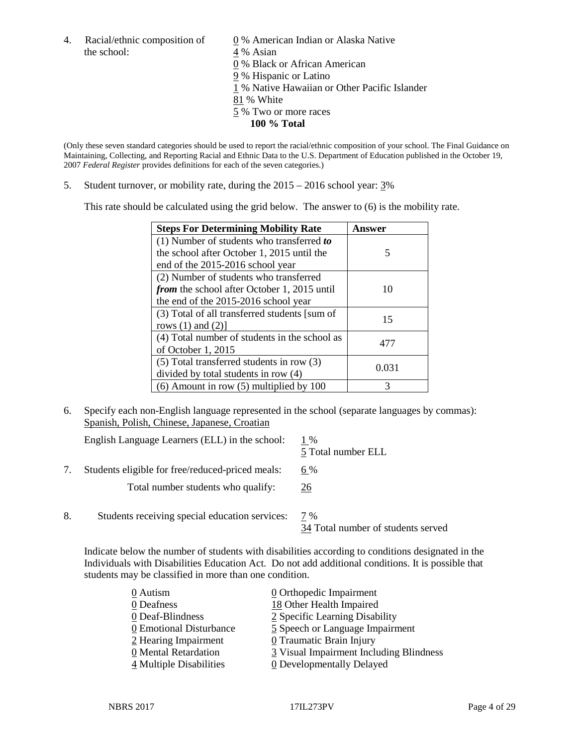the school:  $4\%$  Asian

4. Racial/ethnic composition of  $\qquad 0\%$  American Indian or Alaska Native 0 % Black or African American

- 9 % Hispanic or Latino
- 1 % Native Hawaiian or Other Pacific Islander
- 81 % White
- 5 % Two or more races
	- **100 % Total**

(Only these seven standard categories should be used to report the racial/ethnic composition of your school. The Final Guidance on Maintaining, Collecting, and Reporting Racial and Ethnic Data to the U.S. Department of Education published in the October 19, 2007 *Federal Register* provides definitions for each of the seven categories.)

5. Student turnover, or mobility rate, during the 2015 – 2016 school year: 3%

This rate should be calculated using the grid below. The answer to (6) is the mobility rate.

| <b>Steps For Determining Mobility Rate</b>         | Answer |
|----------------------------------------------------|--------|
| (1) Number of students who transferred to          |        |
| the school after October 1, 2015 until the         | 5      |
| end of the 2015-2016 school year                   |        |
| (2) Number of students who transferred             |        |
| <i>from</i> the school after October 1, 2015 until | 10     |
| the end of the 2015-2016 school year               |        |
| (3) Total of all transferred students [sum of      | 15     |
| rows $(1)$ and $(2)$ ]                             |        |
| (4) Total number of students in the school as      | 477    |
| of October 1, 2015                                 |        |
| $(5)$ Total transferred students in row $(3)$      | 0.031  |
| divided by total students in row (4)               |        |
| $(6)$ Amount in row $(5)$ multiplied by 100        | 3      |

6. Specify each non-English language represented in the school (separate languages by commas): Spanish, Polish, Chinese, Japanese, Croatian

|    | English Language Learners (ELL) in the school:   | 1 %<br>5 Total number ELL                 |
|----|--------------------------------------------------|-------------------------------------------|
|    | Students eligible for free/reduced-priced meals: | 6 %                                       |
|    | Total number students who qualify:               | 26                                        |
| 8. | Students receiving special education services:   | 7 %<br>34 Total number of students served |

Indicate below the number of students with disabilities according to conditions designated in the Individuals with Disabilities Education Act. Do not add additional conditions. It is possible that students may be classified in more than one condition.

| 0 Autism                | $\underline{0}$ Orthopedic Impairment   |
|-------------------------|-----------------------------------------|
| 0 Deafness              | 18 Other Health Impaired                |
| 0 Deaf-Blindness        | 2 Specific Learning Disability          |
| 0 Emotional Disturbance | 5 Speech or Language Impairment         |
| 2 Hearing Impairment    | 0 Traumatic Brain Injury                |
| 0 Mental Retardation    | 3 Visual Impairment Including Blindness |
| 4 Multiple Disabilities | <b>0</b> Developmentally Delayed        |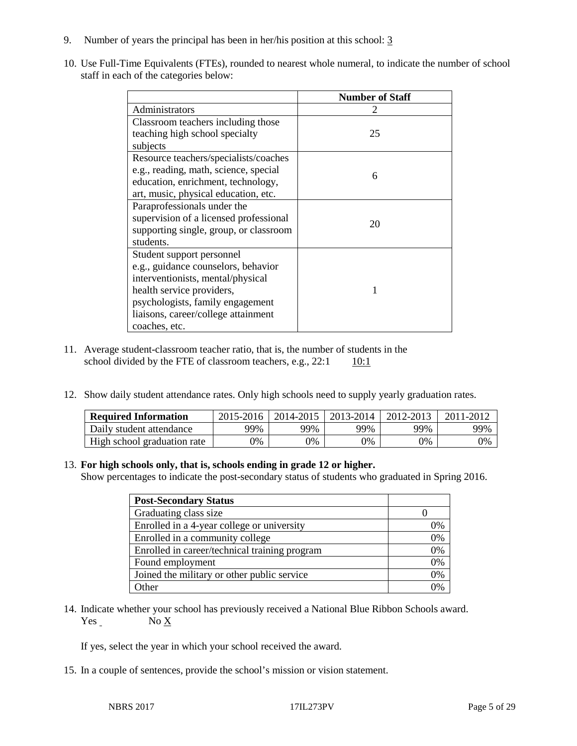- 9. Number of years the principal has been in her/his position at this school: 3
- 10. Use Full-Time Equivalents (FTEs), rounded to nearest whole numeral, to indicate the number of school staff in each of the categories below:

|                                        | <b>Number of Staff</b> |
|----------------------------------------|------------------------|
| Administrators                         |                        |
| Classroom teachers including those     |                        |
| teaching high school specialty         | 25                     |
| subjects                               |                        |
| Resource teachers/specialists/coaches  |                        |
| e.g., reading, math, science, special  | 6                      |
| education, enrichment, technology,     |                        |
| art, music, physical education, etc.   |                        |
| Paraprofessionals under the            |                        |
| supervision of a licensed professional | 20                     |
| supporting single, group, or classroom |                        |
| students.                              |                        |
| Student support personnel              |                        |
| e.g., guidance counselors, behavior    |                        |
| interventionists, mental/physical      |                        |
| health service providers,              |                        |
| psychologists, family engagement       |                        |
| liaisons, career/college attainment    |                        |
| coaches, etc.                          |                        |

- 11. Average student-classroom teacher ratio, that is, the number of students in the school divided by the FTE of classroom teachers, e.g.,  $22:1 \qquad 10:1$
- 12. Show daily student attendance rates. Only high schools need to supply yearly graduation rates.

| <b>Required Information</b> | $2015 - 2016$ |     | 2014-2015   2013-2014 | 2012-2013 | 2011-2012 |
|-----------------------------|---------------|-----|-----------------------|-----------|-----------|
| Daily student attendance    | 99%           | 99% | 99%                   | 99%       | 99%       |
| High school graduation rate | 9%            | 0%  | 0%                    | 9%        | 0%        |

#### 13. **For high schools only, that is, schools ending in grade 12 or higher.**

Show percentages to indicate the post-secondary status of students who graduated in Spring 2016.

| <b>Post-Secondary Status</b>                  |    |
|-----------------------------------------------|----|
| Graduating class size                         |    |
| Enrolled in a 4-year college or university    | 0% |
| Enrolled in a community college               | 0% |
| Enrolled in career/technical training program | 0% |
| Found employment                              | 0% |
| Joined the military or other public service   | 0% |
| Other                                         | በ% |

14. Indicate whether your school has previously received a National Blue Ribbon Schools award. Yes No X

If yes, select the year in which your school received the award.

15. In a couple of sentences, provide the school's mission or vision statement.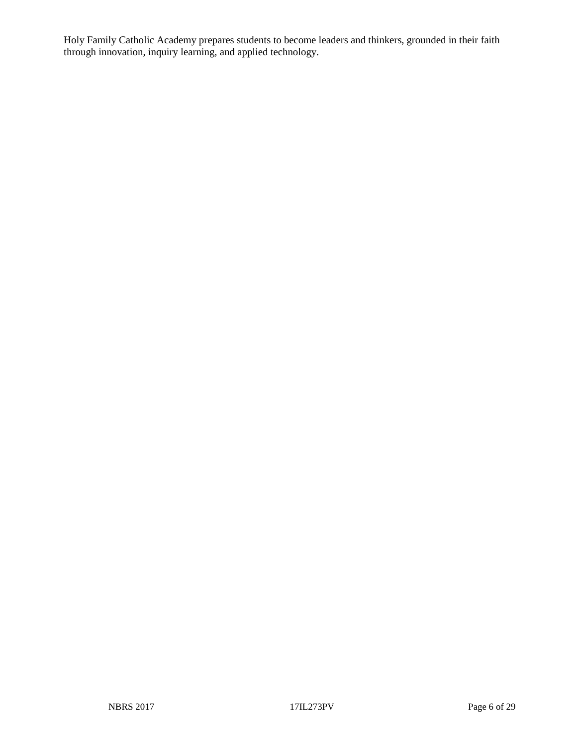Holy Family Catholic Academy prepares students to become leaders and thinkers, grounded in their faith through innovation, inquiry learning, and applied technology.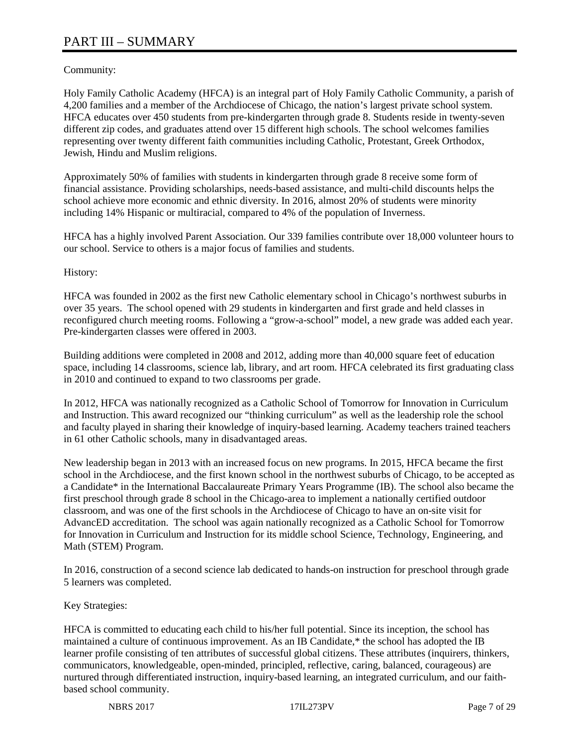## Community:

Holy Family Catholic Academy (HFCA) is an integral part of Holy Family Catholic Community, a parish of 4,200 families and a member of the Archdiocese of Chicago, the nation's largest private school system. HFCA educates over 450 students from pre-kindergarten through grade 8. Students reside in twenty-seven different zip codes, and graduates attend over 15 different high schools. The school welcomes families representing over twenty different faith communities including Catholic, Protestant, Greek Orthodox, Jewish, Hindu and Muslim religions.

Approximately 50% of families with students in kindergarten through grade 8 receive some form of financial assistance. Providing scholarships, needs-based assistance, and multi-child discounts helps the school achieve more economic and ethnic diversity. In 2016, almost 20% of students were minority including 14% Hispanic or multiracial, compared to 4% of the population of Inverness.

HFCA has a highly involved Parent Association. Our 339 families contribute over 18,000 volunteer hours to our school. Service to others is a major focus of families and students.

History:

HFCA was founded in 2002 as the first new Catholic elementary school in Chicago's northwest suburbs in over 35 years. The school opened with 29 students in kindergarten and first grade and held classes in reconfigured church meeting rooms. Following a "grow-a-school" model, a new grade was added each year. Pre-kindergarten classes were offered in 2003.

Building additions were completed in 2008 and 2012, adding more than 40,000 square feet of education space, including 14 classrooms, science lab, library, and art room. HFCA celebrated its first graduating class in 2010 and continued to expand to two classrooms per grade.

In 2012, HFCA was nationally recognized as a Catholic School of Tomorrow for Innovation in Curriculum and Instruction. This award recognized our "thinking curriculum" as well as the leadership role the school and faculty played in sharing their knowledge of inquiry-based learning. Academy teachers trained teachers in 61 other Catholic schools, many in disadvantaged areas.

New leadership began in 2013 with an increased focus on new programs. In 2015, HFCA became the first school in the Archdiocese, and the first known school in the northwest suburbs of Chicago, to be accepted as a Candidate\* in the International Baccalaureate Primary Years Programme (IB). The school also became the first preschool through grade 8 school in the Chicago-area to implement a nationally certified outdoor classroom, and was one of the first schools in the Archdiocese of Chicago to have an on-site visit for AdvancED accreditation. The school was again nationally recognized as a Catholic School for Tomorrow for Innovation in Curriculum and Instruction for its middle school Science, Technology, Engineering, and Math (STEM) Program.

In 2016, construction of a second science lab dedicated to hands-on instruction for preschool through grade 5 learners was completed.

Key Strategies:

HFCA is committed to educating each child to his/her full potential. Since its inception, the school has maintained a culture of continuous improvement. As an IB Candidate,\* the school has adopted the IB learner profile consisting of ten attributes of successful global citizens. These attributes (inquirers, thinkers, communicators, knowledgeable, open-minded, principled, reflective, caring, balanced, courageous) are nurtured through differentiated instruction, inquiry-based learning, an integrated curriculum, and our faithbased school community.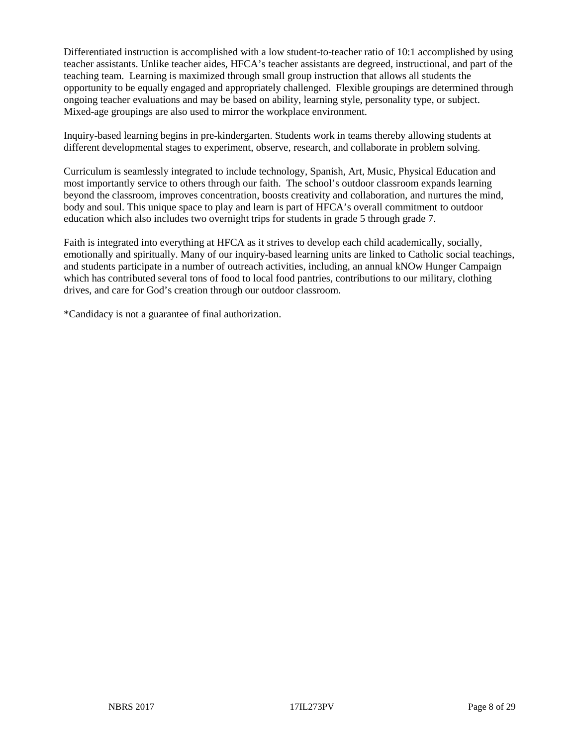Differentiated instruction is accomplished with a low student-to-teacher ratio of 10:1 accomplished by using teacher assistants. Unlike teacher aides, HFCA's teacher assistants are degreed, instructional, and part of the teaching team. Learning is maximized through small group instruction that allows all students the opportunity to be equally engaged and appropriately challenged. Flexible groupings are determined through ongoing teacher evaluations and may be based on ability, learning style, personality type, or subject. Mixed-age groupings are also used to mirror the workplace environment.

Inquiry-based learning begins in pre-kindergarten. Students work in teams thereby allowing students at different developmental stages to experiment, observe, research, and collaborate in problem solving.

Curriculum is seamlessly integrated to include technology, Spanish, Art, Music, Physical Education and most importantly service to others through our faith. The school's outdoor classroom expands learning beyond the classroom, improves concentration, boosts creativity and collaboration, and nurtures the mind, body and soul. This unique space to play and learn is part of HFCA's overall commitment to outdoor education which also includes two overnight trips for students in grade 5 through grade 7.

Faith is integrated into everything at HFCA as it strives to develop each child academically, socially, emotionally and spiritually. Many of our inquiry-based learning units are linked to Catholic social teachings, and students participate in a number of outreach activities, including, an annual kNOw Hunger Campaign which has contributed several tons of food to local food pantries, contributions to our military, clothing drives, and care for God's creation through our outdoor classroom.

\*Candidacy is not a guarantee of final authorization.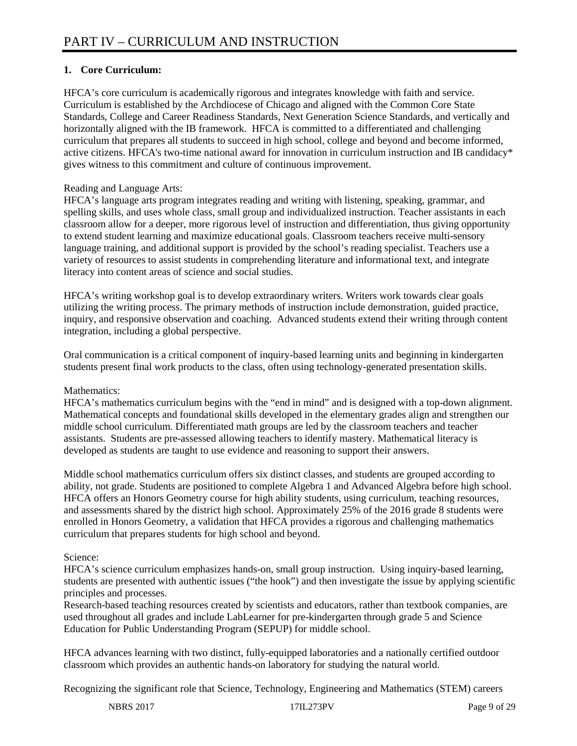## **1. Core Curriculum:**

HFCA's core curriculum is academically rigorous and integrates knowledge with faith and service. Curriculum is established by the Archdiocese of Chicago and aligned with the Common Core State Standards, College and Career Readiness Standards, Next Generation Science Standards, and vertically and horizontally aligned with the IB framework. HFCA is committed to a differentiated and challenging curriculum that prepares all students to succeed in high school, college and beyond and become informed, active citizens. HFCA's two-time national award for innovation in curriculum instruction and IB candidacy\* gives witness to this commitment and culture of continuous improvement.

## Reading and Language Arts:

HFCA's language arts program integrates reading and writing with listening, speaking, grammar, and spelling skills, and uses whole class, small group and individualized instruction. Teacher assistants in each classroom allow for a deeper, more rigorous level of instruction and differentiation, thus giving opportunity to extend student learning and maximize educational goals. Classroom teachers receive multi-sensory language training, and additional support is provided by the school's reading specialist. Teachers use a variety of resources to assist students in comprehending literature and informational text, and integrate literacy into content areas of science and social studies.

HFCA's writing workshop goal is to develop extraordinary writers. Writers work towards clear goals utilizing the writing process. The primary methods of instruction include demonstration, guided practice, inquiry, and responsive observation and coaching. Advanced students extend their writing through content integration, including a global perspective.

Oral communication is a critical component of inquiry-based learning units and beginning in kindergarten students present final work products to the class, often using technology-generated presentation skills.

## Mathematics:

HFCA's mathematics curriculum begins with the "end in mind" and is designed with a top-down alignment. Mathematical concepts and foundational skills developed in the elementary grades align and strengthen our middle school curriculum. Differentiated math groups are led by the classroom teachers and teacher assistants. Students are pre-assessed allowing teachers to identify mastery. Mathematical literacy is developed as students are taught to use evidence and reasoning to support their answers.

Middle school mathematics curriculum offers six distinct classes, and students are grouped according to ability, not grade. Students are positioned to complete Algebra 1 and Advanced Algebra before high school. HFCA offers an Honors Geometry course for high ability students, using curriculum, teaching resources, and assessments shared by the district high school. Approximately 25% of the 2016 grade 8 students were enrolled in Honors Geometry, a validation that HFCA provides a rigorous and challenging mathematics curriculum that prepares students for high school and beyond.

## Science:

HFCA's science curriculum emphasizes hands-on, small group instruction. Using inquiry-based learning, students are presented with authentic issues ("the hook") and then investigate the issue by applying scientific principles and processes.

Research-based teaching resources created by scientists and educators, rather than textbook companies, are used throughout all grades and include LabLearner for pre-kindergarten through grade 5 and Science Education for Public Understanding Program (SEPUP) for middle school.

HFCA advances learning with two distinct, fully-equipped laboratories and a nationally certified outdoor classroom which provides an authentic hands-on laboratory for studying the natural world.

Recognizing the significant role that Science, Technology, Engineering and Mathematics (STEM) careers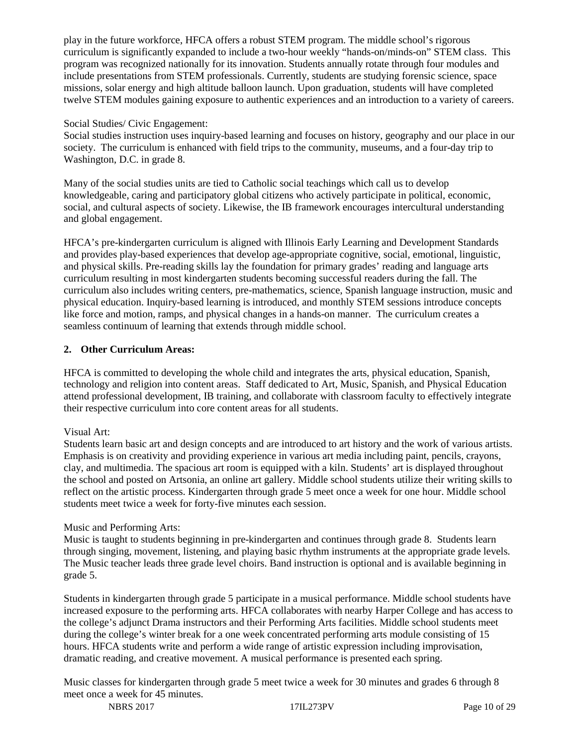play in the future workforce, HFCA offers a robust STEM program. The middle school's rigorous curriculum is significantly expanded to include a two-hour weekly "hands-on/minds-on" STEM class. This program was recognized nationally for its innovation. Students annually rotate through four modules and include presentations from STEM professionals. Currently, students are studying forensic science, space missions, solar energy and high altitude balloon launch. Upon graduation, students will have completed twelve STEM modules gaining exposure to authentic experiences and an introduction to a variety of careers.

#### Social Studies/ Civic Engagement:

Social studies instruction uses inquiry-based learning and focuses on history, geography and our place in our society. The curriculum is enhanced with field trips to the community, museums, and a four-day trip to Washington, D.C. in grade 8.

Many of the social studies units are tied to Catholic social teachings which call us to develop knowledgeable, caring and participatory global citizens who actively participate in political, economic, social, and cultural aspects of society. Likewise, the IB framework encourages intercultural understanding and global engagement.

HFCA's pre-kindergarten curriculum is aligned with Illinois Early Learning and Development Standards and provides play-based experiences that develop age-appropriate cognitive, social, emotional, linguistic, and physical skills. Pre-reading skills lay the foundation for primary grades' reading and language arts curriculum resulting in most kindergarten students becoming successful readers during the fall. The curriculum also includes writing centers, pre-mathematics, science, Spanish language instruction, music and physical education. Inquiry-based learning is introduced, and monthly STEM sessions introduce concepts like force and motion, ramps, and physical changes in a hands-on manner. The curriculum creates a seamless continuum of learning that extends through middle school.

## **2. Other Curriculum Areas:**

HFCA is committed to developing the whole child and integrates the arts, physical education, Spanish, technology and religion into content areas. Staff dedicated to Art, Music, Spanish, and Physical Education attend professional development, IB training, and collaborate with classroom faculty to effectively integrate their respective curriculum into core content areas for all students.

## Visual Art:

Students learn basic art and design concepts and are introduced to art history and the work of various artists. Emphasis is on creativity and providing experience in various art media including paint, pencils, crayons, clay, and multimedia. The spacious art room is equipped with a kiln. Students' art is displayed throughout the school and posted on Artsonia, an online art gallery. Middle school students utilize their writing skills to reflect on the artistic process. Kindergarten through grade 5 meet once a week for one hour. Middle school students meet twice a week for forty-five minutes each session.

## Music and Performing Arts:

Music is taught to students beginning in pre-kindergarten and continues through grade 8. Students learn through singing, movement, listening, and playing basic rhythm instruments at the appropriate grade levels. The Music teacher leads three grade level choirs. Band instruction is optional and is available beginning in grade 5.

Students in kindergarten through grade 5 participate in a musical performance. Middle school students have increased exposure to the performing arts. HFCA collaborates with nearby Harper College and has access to the college's adjunct Drama instructors and their Performing Arts facilities. Middle school students meet during the college's winter break for a one week concentrated performing arts module consisting of 15 hours. HFCA students write and perform a wide range of artistic expression including improvisation, dramatic reading, and creative movement. A musical performance is presented each spring.

Music classes for kindergarten through grade 5 meet twice a week for 30 minutes and grades 6 through 8 meet once a week for 45 minutes.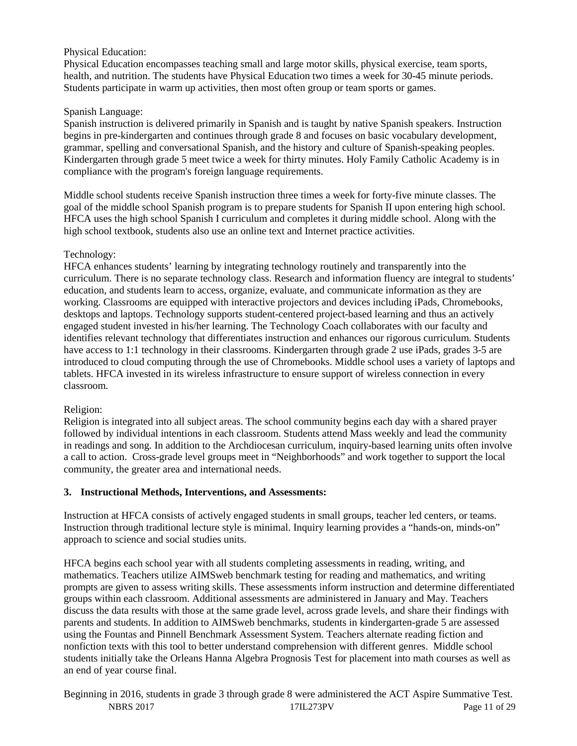#### Physical Education:

Physical Education encompasses teaching small and large motor skills, physical exercise, team sports, health, and nutrition. The students have Physical Education two times a week for 30-45 minute periods. Students participate in warm up activities, then most often group or team sports or games.

#### Spanish Language:

Spanish instruction is delivered primarily in Spanish and is taught by native Spanish speakers. Instruction begins in pre-kindergarten and continues through grade 8 and focuses on basic vocabulary development, grammar, spelling and conversational Spanish, and the history and culture of Spanish-speaking peoples. Kindergarten through grade 5 meet twice a week for thirty minutes. Holy Family Catholic Academy is in compliance with the program's foreign language requirements.

Middle school students receive Spanish instruction three times a week for forty-five minute classes. The goal of the middle school Spanish program is to prepare students for Spanish II upon entering high school. HFCA uses the high school Spanish I curriculum and completes it during middle school. Along with the high school textbook, students also use an online text and Internet practice activities.

#### Technology:

HFCA enhances students' learning by integrating technology routinely and transparently into the curriculum. There is no separate technology class. Research and information fluency are integral to students' education, and students learn to access, organize, evaluate, and communicate information as they are working. Classrooms are equipped with interactive projectors and devices including iPads, Chromebooks, desktops and laptops. Technology supports student-centered project-based learning and thus an actively engaged student invested in his/her learning. The Technology Coach collaborates with our faculty and identifies relevant technology that differentiates instruction and enhances our rigorous curriculum. Students have access to 1:1 technology in their classrooms. Kindergarten through grade 2 use iPads, grades 3-5 are introduced to cloud computing through the use of Chromebooks. Middle school uses a variety of laptops and tablets. HFCA invested in its wireless infrastructure to ensure support of wireless connection in every classroom.

#### Religion:

Religion is integrated into all subject areas. The school community begins each day with a shared prayer followed by individual intentions in each classroom. Students attend Mass weekly and lead the community in readings and song. In addition to the Archdiocesan curriculum, inquiry-based learning units often involve a call to action. Cross-grade level groups meet in "Neighborhoods" and work together to support the local community, the greater area and international needs.

#### **3. Instructional Methods, Interventions, and Assessments:**

Instruction at HFCA consists of actively engaged students in small groups, teacher led centers, or teams. Instruction through traditional lecture style is minimal. Inquiry learning provides a "hands-on, minds-on" approach to science and social studies units.

HFCA begins each school year with all students completing assessments in reading, writing, and mathematics. Teachers utilize AIMSweb benchmark testing for reading and mathematics, and writing prompts are given to assess writing skills. These assessments inform instruction and determine differentiated groups within each classroom. Additional assessments are administered in January and May. Teachers discuss the data results with those at the same grade level, across grade levels, and share their findings with parents and students. In addition to AIMSweb benchmarks, students in kindergarten-grade 5 are assessed using the Fountas and Pinnell Benchmark Assessment System. Teachers alternate reading fiction and nonfiction texts with this tool to better understand comprehension with different genres. Middle school students initially take the Orleans Hanna Algebra Prognosis Test for placement into math courses as well as an end of year course final.

NBRS 2017 17IL273PV Page 11 of 29 Beginning in 2016, students in grade 3 through grade 8 were administered the ACT Aspire Summative Test.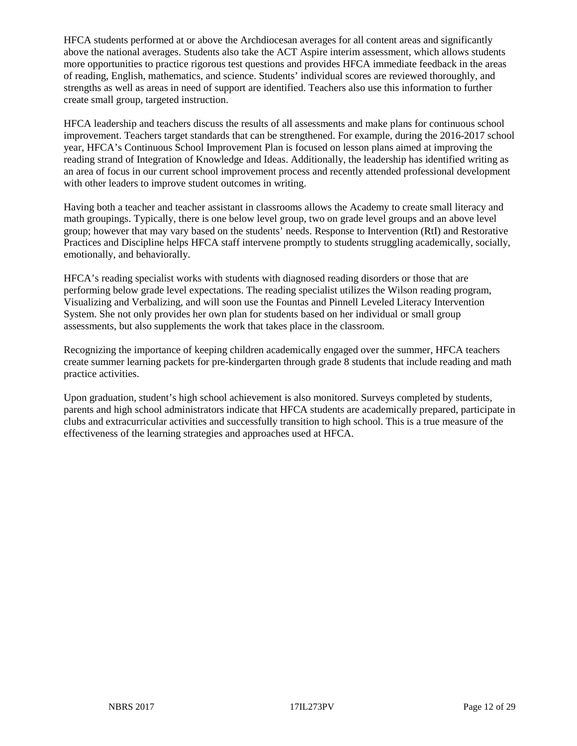HFCA students performed at or above the Archdiocesan averages for all content areas and significantly above the national averages. Students also take the ACT Aspire interim assessment, which allows students more opportunities to practice rigorous test questions and provides HFCA immediate feedback in the areas of reading, English, mathematics, and science. Students' individual scores are reviewed thoroughly, and strengths as well as areas in need of support are identified. Teachers also use this information to further create small group, targeted instruction.

HFCA leadership and teachers discuss the results of all assessments and make plans for continuous school improvement. Teachers target standards that can be strengthened. For example, during the 2016-2017 school year, HFCA's Continuous School Improvement Plan is focused on lesson plans aimed at improving the reading strand of Integration of Knowledge and Ideas. Additionally, the leadership has identified writing as an area of focus in our current school improvement process and recently attended professional development with other leaders to improve student outcomes in writing.

Having both a teacher and teacher assistant in classrooms allows the Academy to create small literacy and math groupings. Typically, there is one below level group, two on grade level groups and an above level group; however that may vary based on the students' needs. Response to Intervention (RtI) and Restorative Practices and Discipline helps HFCA staff intervene promptly to students struggling academically, socially, emotionally, and behaviorally.

HFCA's reading specialist works with students with diagnosed reading disorders or those that are performing below grade level expectations. The reading specialist utilizes the Wilson reading program, Visualizing and Verbalizing, and will soon use the Fountas and Pinnell Leveled Literacy Intervention System. She not only provides her own plan for students based on her individual or small group assessments, but also supplements the work that takes place in the classroom.

Recognizing the importance of keeping children academically engaged over the summer, HFCA teachers create summer learning packets for pre-kindergarten through grade 8 students that include reading and math practice activities.

Upon graduation, student's high school achievement is also monitored. Surveys completed by students, parents and high school administrators indicate that HFCA students are academically prepared, participate in clubs and extracurricular activities and successfully transition to high school. This is a true measure of the effectiveness of the learning strategies and approaches used at HFCA.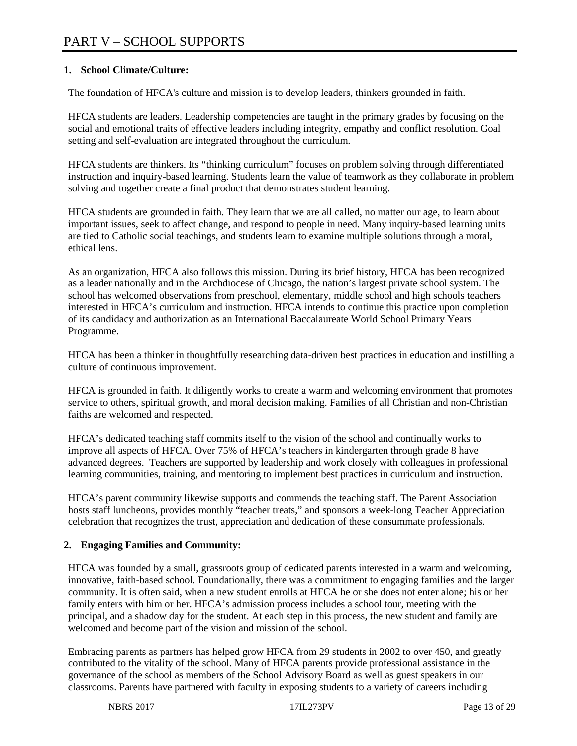## **1. School Climate/Culture:**

The foundation of HFCA's culture and mission is to develop leaders, thinkers grounded in faith.

HFCA students are leaders. Leadership competencies are taught in the primary grades by focusing on the social and emotional traits of effective leaders including integrity, empathy and conflict resolution. Goal setting and self-evaluation are integrated throughout the curriculum.

HFCA students are thinkers. Its "thinking curriculum" focuses on problem solving through differentiated instruction and inquiry-based learning. Students learn the value of teamwork as they collaborate in problem solving and together create a final product that demonstrates student learning.

HFCA students are grounded in faith. They learn that we are all called, no matter our age, to learn about important issues, seek to affect change, and respond to people in need. Many inquiry-based learning units are tied to Catholic social teachings, and students learn to examine multiple solutions through a moral, ethical lens.

As an organization, HFCA also follows this mission. During its brief history, HFCA has been recognized as a leader nationally and in the Archdiocese of Chicago, the nation's largest private school system. The school has welcomed observations from preschool, elementary, middle school and high schools teachers interested in HFCA's curriculum and instruction. HFCA intends to continue this practice upon completion of its candidacy and authorization as an International Baccalaureate World School Primary Years Programme.

HFCA has been a thinker in thoughtfully researching data-driven best practices in education and instilling a culture of continuous improvement.

HFCA is grounded in faith. It diligently works to create a warm and welcoming environment that promotes service to others, spiritual growth, and moral decision making. Families of all Christian and non-Christian faiths are welcomed and respected.

HFCA's dedicated teaching staff commits itself to the vision of the school and continually works to improve all aspects of HFCA. Over 75% of HFCA's teachers in kindergarten through grade 8 have advanced degrees. Teachers are supported by leadership and work closely with colleagues in professional learning communities, training, and mentoring to implement best practices in curriculum and instruction.

HFCA's parent community likewise supports and commends the teaching staff. The Parent Association hosts staff luncheons, provides monthly "teacher treats," and sponsors a week-long Teacher Appreciation celebration that recognizes the trust, appreciation and dedication of these consummate professionals.

## **2. Engaging Families and Community:**

HFCA was founded by a small, grassroots group of dedicated parents interested in a warm and welcoming, innovative, faith-based school. Foundationally, there was a commitment to engaging families and the larger community. It is often said, when a new student enrolls at HFCA he or she does not enter alone; his or her family enters with him or her. HFCA's admission process includes a school tour, meeting with the principal, and a shadow day for the student. At each step in this process, the new student and family are welcomed and become part of the vision and mission of the school.

Embracing parents as partners has helped grow HFCA from 29 students in 2002 to over 450, and greatly contributed to the vitality of the school. Many of HFCA parents provide professional assistance in the governance of the school as members of the School Advisory Board as well as guest speakers in our classrooms. Parents have partnered with faculty in exposing students to a variety of careers including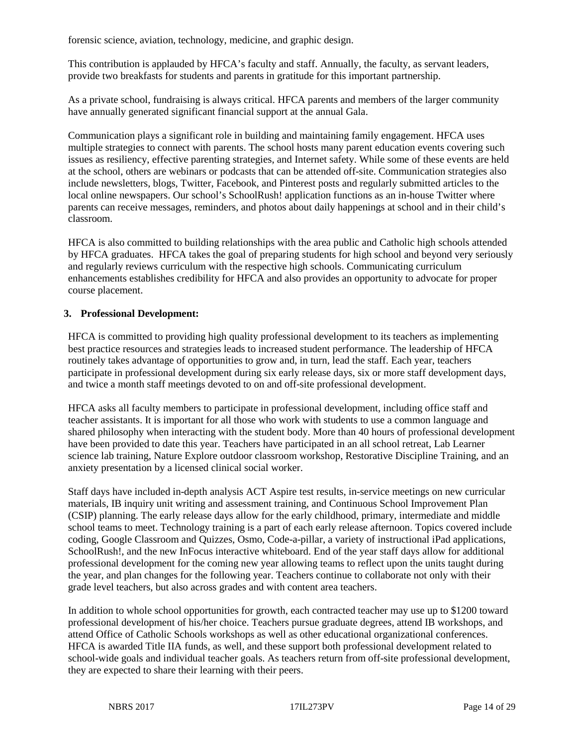forensic science, aviation, technology, medicine, and graphic design.

This contribution is applauded by HFCA's faculty and staff. Annually, the faculty, as servant leaders, provide two breakfasts for students and parents in gratitude for this important partnership.

As a private school, fundraising is always critical. HFCA parents and members of the larger community have annually generated significant financial support at the annual Gala.

Communication plays a significant role in building and maintaining family engagement. HFCA uses multiple strategies to connect with parents. The school hosts many parent education events covering such issues as resiliency, effective parenting strategies, and Internet safety. While some of these events are held at the school, others are webinars or podcasts that can be attended off-site. Communication strategies also include newsletters, blogs, Twitter, Facebook, and Pinterest posts and regularly submitted articles to the local online newspapers. Our school's SchoolRush! application functions as an in-house Twitter where parents can receive messages, reminders, and photos about daily happenings at school and in their child's classroom.

HFCA is also committed to building relationships with the area public and Catholic high schools attended by HFCA graduates. HFCA takes the goal of preparing students for high school and beyond very seriously and regularly reviews curriculum with the respective high schools. Communicating curriculum enhancements establishes credibility for HFCA and also provides an opportunity to advocate for proper course placement.

#### **3. Professional Development:**

HFCA is committed to providing high quality professional development to its teachers as implementing best practice resources and strategies leads to increased student performance. The leadership of HFCA routinely takes advantage of opportunities to grow and, in turn, lead the staff. Each year, teachers participate in professional development during six early release days, six or more staff development days, and twice a month staff meetings devoted to on and off-site professional development.

HFCA asks all faculty members to participate in professional development, including office staff and teacher assistants. It is important for all those who work with students to use a common language and shared philosophy when interacting with the student body. More than 40 hours of professional development have been provided to date this year. Teachers have participated in an all school retreat, Lab Learner science lab training, Nature Explore outdoor classroom workshop, Restorative Discipline Training, and an anxiety presentation by a licensed clinical social worker.

Staff days have included in-depth analysis ACT Aspire test results, in-service meetings on new curricular materials, IB inquiry unit writing and assessment training, and Continuous School Improvement Plan (CSIP) planning. The early release days allow for the early childhood, primary, intermediate and middle school teams to meet. Technology training is a part of each early release afternoon. Topics covered include coding, Google Classroom and Quizzes, Osmo, Code-a-pillar, a variety of instructional iPad applications, SchoolRush!, and the new InFocus interactive whiteboard. End of the year staff days allow for additional professional development for the coming new year allowing teams to reflect upon the units taught during the year, and plan changes for the following year. Teachers continue to collaborate not only with their grade level teachers, but also across grades and with content area teachers.

In addition to whole school opportunities for growth, each contracted teacher may use up to \$1200 toward professional development of his/her choice. Teachers pursue graduate degrees, attend IB workshops, and attend Office of Catholic Schools workshops as well as other educational organizational conferences. HFCA is awarded Title IIA funds, as well, and these support both professional development related to school-wide goals and individual teacher goals. As teachers return from off-site professional development, they are expected to share their learning with their peers.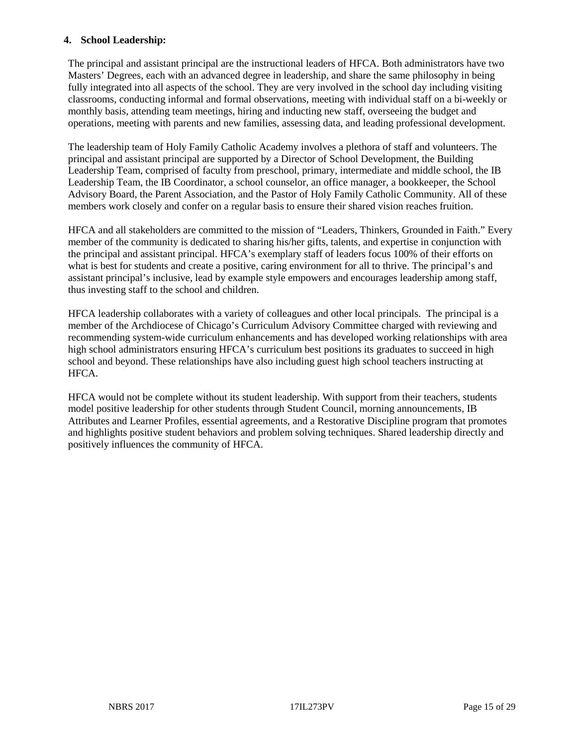#### **4. School Leadership:**

The principal and assistant principal are the instructional leaders of HFCA. Both administrators have two Masters' Degrees, each with an advanced degree in leadership, and share the same philosophy in being fully integrated into all aspects of the school. They are very involved in the school day including visiting classrooms, conducting informal and formal observations, meeting with individual staff on a bi-weekly or monthly basis, attending team meetings, hiring and inducting new staff, overseeing the budget and operations, meeting with parents and new families, assessing data, and leading professional development.

The leadership team of Holy Family Catholic Academy involves a plethora of staff and volunteers. The principal and assistant principal are supported by a Director of School Development, the Building Leadership Team, comprised of faculty from preschool, primary, intermediate and middle school, the IB Leadership Team, the IB Coordinator, a school counselor, an office manager, a bookkeeper, the School Advisory Board, the Parent Association, and the Pastor of Holy Family Catholic Community. All of these members work closely and confer on a regular basis to ensure their shared vision reaches fruition.

HFCA and all stakeholders are committed to the mission of "Leaders, Thinkers, Grounded in Faith." Every member of the community is dedicated to sharing his/her gifts, talents, and expertise in conjunction with the principal and assistant principal. HFCA's exemplary staff of leaders focus 100% of their efforts on what is best for students and create a positive, caring environment for all to thrive. The principal's and assistant principal's inclusive, lead by example style empowers and encourages leadership among staff, thus investing staff to the school and children.

HFCA leadership collaborates with a variety of colleagues and other local principals. The principal is a member of the Archdiocese of Chicago's Curriculum Advisory Committee charged with reviewing and recommending system-wide curriculum enhancements and has developed working relationships with area high school administrators ensuring HFCA's curriculum best positions its graduates to succeed in high school and beyond. These relationships have also including guest high school teachers instructing at HFCA.

HFCA would not be complete without its student leadership. With support from their teachers, students model positive leadership for other students through Student Council, morning announcements, IB Attributes and Learner Profiles, essential agreements, and a Restorative Discipline program that promotes and highlights positive student behaviors and problem solving techniques. Shared leadership directly and positively influences the community of HFCA.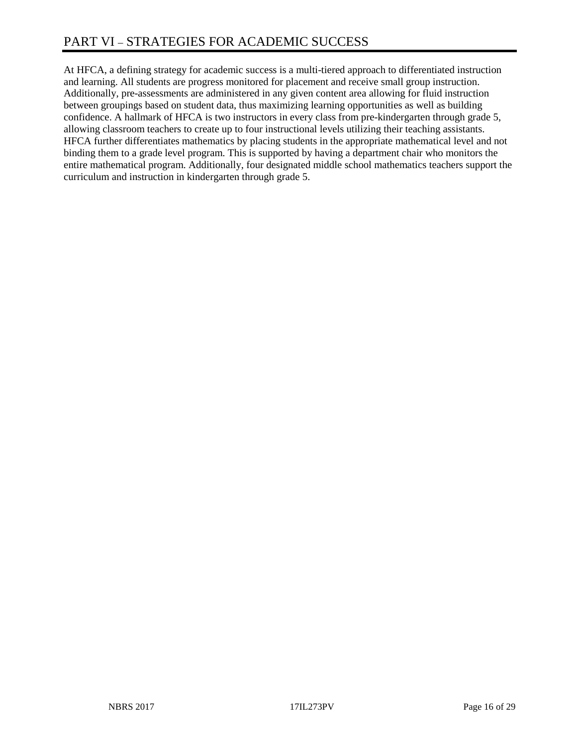# PART VI – STRATEGIES FOR ACADEMIC SUCCESS

At HFCA, a defining strategy for academic success is a multi-tiered approach to differentiated instruction and learning. All students are progress monitored for placement and receive small group instruction. Additionally, pre-assessments are administered in any given content area allowing for fluid instruction between groupings based on student data, thus maximizing learning opportunities as well as building confidence. A hallmark of HFCA is two instructors in every class from pre-kindergarten through grade 5, allowing classroom teachers to create up to four instructional levels utilizing their teaching assistants. HFCA further differentiates mathematics by placing students in the appropriate mathematical level and not binding them to a grade level program. This is supported by having a department chair who monitors the entire mathematical program. Additionally, four designated middle school mathematics teachers support the curriculum and instruction in kindergarten through grade 5.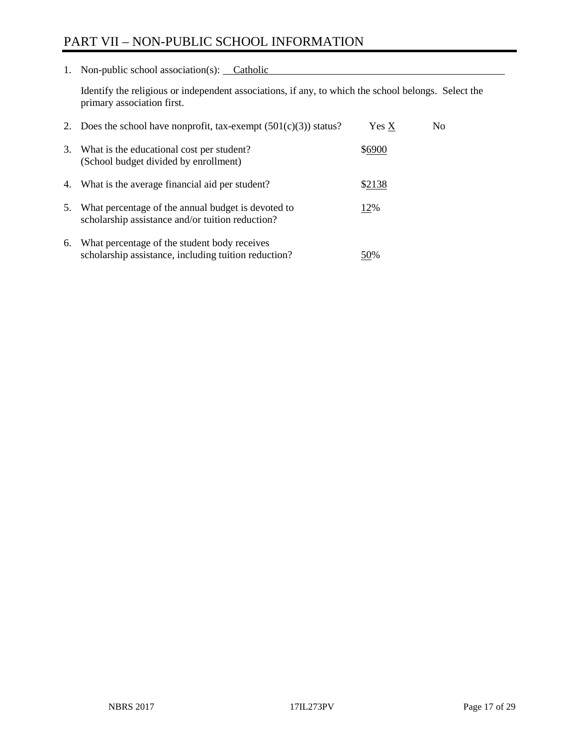# PART VII – NON-PUBLIC SCHOOL INFORMATION

1. Non-public school association(s): Catholic

Identify the religious or independent associations, if any, to which the school belongs. Select the primary association first.

| 2. | Does the school have nonprofit, tax-exempt $(501(c)(3))$ status?                                       | Yes X  | No. |
|----|--------------------------------------------------------------------------------------------------------|--------|-----|
| 3. | What is the educational cost per student?<br>(School budget divided by enrollment)                     | \$6900 |     |
| 4. | What is the average financial aid per student?                                                         | \$2138 |     |
| 5. | What percentage of the annual budget is devoted to<br>scholarship assistance and/or tuition reduction? | 12%    |     |
| 6. | What percentage of the student body receives<br>scholarship assistance, including tuition reduction?   | 50%    |     |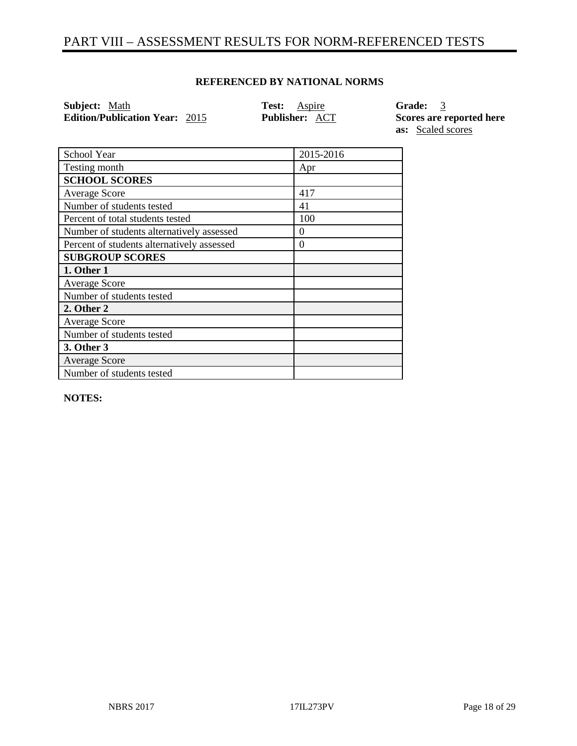## PART VIII – ASSESSMENT RESULTS FOR NORM-REFERENCED TESTS

## **REFERENCED BY NATIONAL NORMS**

**Subject:** Math **Test:** Aspire **Grade:** 3 **Edition/Publication Year:**  $\frac{2015}{ }$  **Publisher:**  $\frac{ACT}{ }$  Scores are reported here

**as:** Scaled scores

| School Year                                | 2015-2016 |
|--------------------------------------------|-----------|
| Testing month                              | Apr       |
| <b>SCHOOL SCORES</b>                       |           |
| <b>Average Score</b>                       | 417       |
| Number of students tested                  | 41        |
| Percent of total students tested           | 100       |
| Number of students alternatively assessed  | $\theta$  |
| Percent of students alternatively assessed | $\theta$  |
| <b>SUBGROUP SCORES</b>                     |           |
| 1. Other 1                                 |           |
| <b>Average Score</b>                       |           |
| Number of students tested                  |           |
| 2. Other 2                                 |           |
| <b>Average Score</b>                       |           |
| Number of students tested                  |           |
| 3. Other 3                                 |           |
| <b>Average Score</b>                       |           |
| Number of students tested                  |           |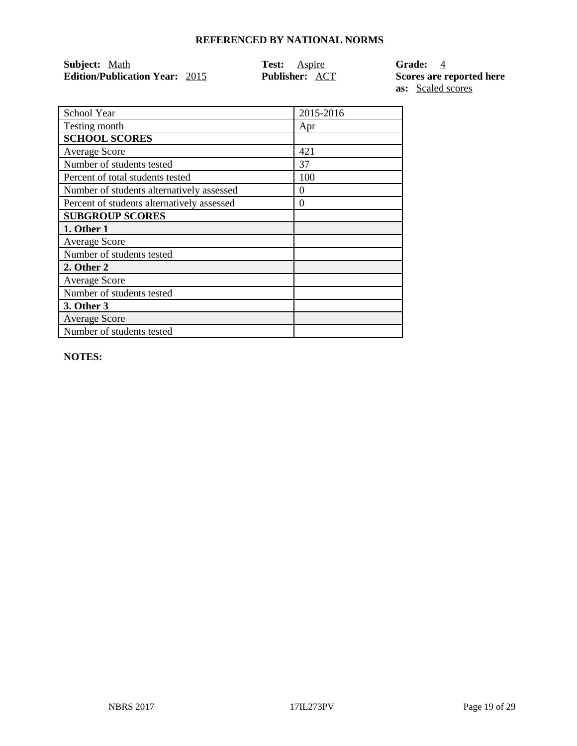| Subject: Math                         | <b>Test:</b> Aspire   | Grade: 4                 |
|---------------------------------------|-----------------------|--------------------------|
| <b>Edition/Publication Year: 2015</b> | <b>Publisher: ACT</b> | Scores are reported here |
|                                       |                       | <b>as:</b> Scaled scores |

School Year 2015-2016 Testing month Apr **SCHOOL SCORES** Average Score 2012 | 421 Number of students tested 37 Percent of total students tested 100 Number of students alternatively assessed 0 Percent of students alternatively assessed 0 **SUBGROUP SCORES 1. Other 1** Average Score Number of students tested **2. Other 2** Average Score Number of students tested **3. Other 3** Average Score Number of students tested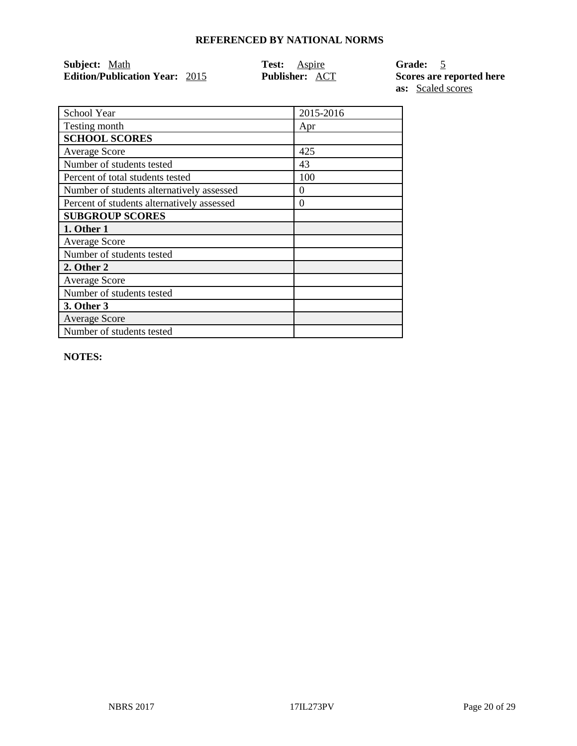| <b>Subject:</b> Math                  | <b>Test:</b> Aspire   | $\overline{5}$<br><b>Grade:</b> |
|---------------------------------------|-----------------------|---------------------------------|
| <b>Edition/Publication Year: 2015</b> | <b>Publisher: ACT</b> | <b>Scores are</b>               |
|                                       |                       |                                 |

**E** reported here **as:** Scaled scores

| School Year                                | 2015-2016 |
|--------------------------------------------|-----------|
| Testing month                              | Apr       |
| <b>SCHOOL SCORES</b>                       |           |
| <b>Average Score</b>                       | 425       |
| Number of students tested                  | 43        |
| Percent of total students tested           | 100       |
| Number of students alternatively assessed  | 0         |
| Percent of students alternatively assessed | $\Omega$  |
| <b>SUBGROUP SCORES</b>                     |           |
| 1. Other 1                                 |           |
| <b>Average Score</b>                       |           |
| Number of students tested                  |           |
| 2. Other 2                                 |           |
| <b>Average Score</b>                       |           |
| Number of students tested                  |           |
| 3. Other 3                                 |           |
| <b>Average Score</b>                       |           |
| Number of students tested                  |           |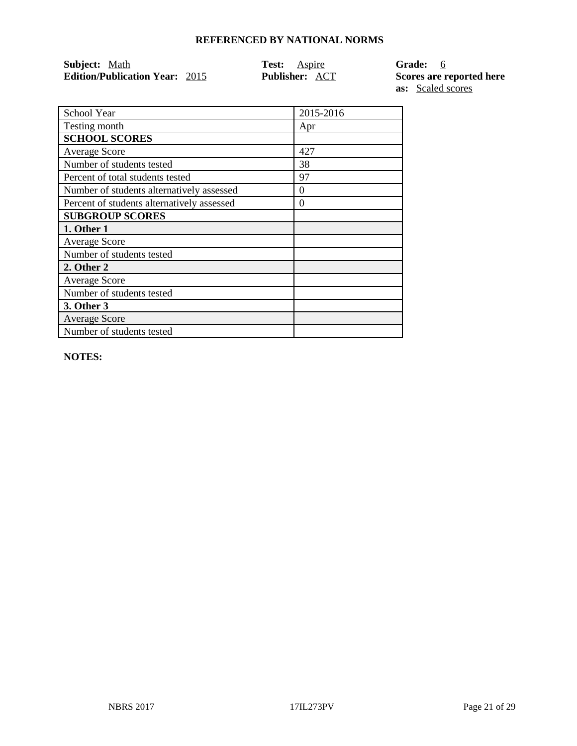| Subject: Math                         | <b>Test:</b> Aspire   | $6\overline{6}$<br><b>Grade:</b> |
|---------------------------------------|-----------------------|----------------------------------|
| <b>Edition/Publication Year: 2015</b> | <b>Publisher: ACT</b> | <b>Scores are</b>                |
|                                       |                       |                                  |

**E** reported here **as:** Scaled scores

| School Year                                | 2015-2016 |
|--------------------------------------------|-----------|
| Testing month                              | Apr       |
| <b>SCHOOL SCORES</b>                       |           |
| <b>Average Score</b>                       | 427       |
| Number of students tested                  | 38        |
| Percent of total students tested           | 97        |
| Number of students alternatively assessed  | $\Omega$  |
| Percent of students alternatively assessed | 0         |
| <b>SUBGROUP SCORES</b>                     |           |
| 1. Other 1                                 |           |
| <b>Average Score</b>                       |           |
| Number of students tested                  |           |
| 2. Other 2                                 |           |
| <b>Average Score</b>                       |           |
| Number of students tested                  |           |
| 3. Other 3                                 |           |
| <b>Average Score</b>                       |           |
| Number of students tested                  |           |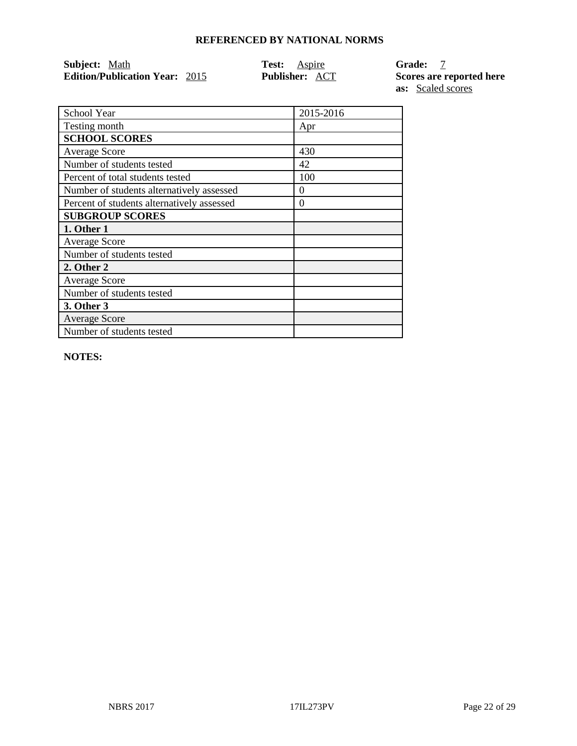| <b>Subject:</b> Math                  | <b>Test:</b> Aspire   | <b>Grade:</b>     |
|---------------------------------------|-----------------------|-------------------|
| <b>Edition/Publication Year: 2015</b> | <b>Publisher: ACT</b> | <b>Scores are</b> |
|                                       |                       |                   |

 $\overline{\text{F}}$  reported here **as:** Scaled scores

| School Year                                | 2015-2016 |
|--------------------------------------------|-----------|
| Testing month                              | Apr       |
| <b>SCHOOL SCORES</b>                       |           |
| <b>Average Score</b>                       | 430       |
| Number of students tested                  | 42        |
| Percent of total students tested           | 100       |
| Number of students alternatively assessed  | 0         |
| Percent of students alternatively assessed | 0         |
| <b>SUBGROUP SCORES</b>                     |           |
| 1. Other 1                                 |           |
| <b>Average Score</b>                       |           |
| Number of students tested                  |           |
| 2. Other 2                                 |           |
| <b>Average Score</b>                       |           |
| Number of students tested                  |           |
| 3. Other 3                                 |           |
| <b>Average Score</b>                       |           |
| Number of students tested                  |           |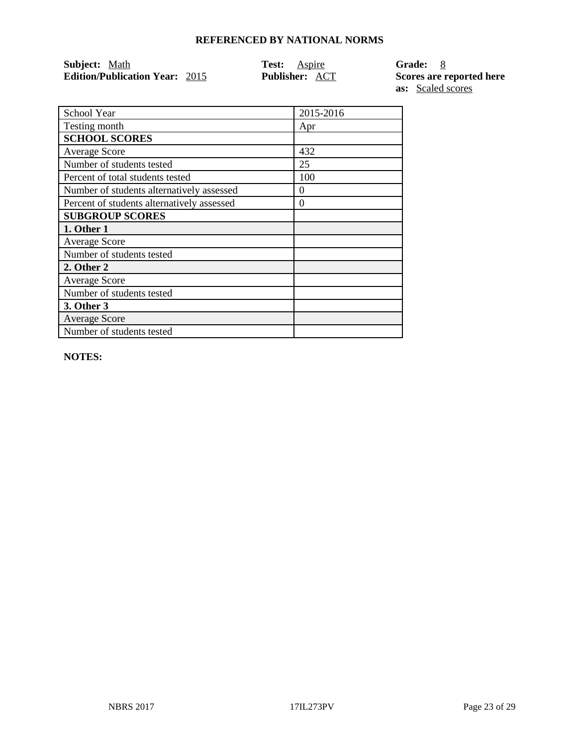| <b>Subject:</b> Math                  | <b>Test:</b> Aspire   | $^{\circ}$ 8<br><b>Grade:</b> |
|---------------------------------------|-----------------------|-------------------------------|
| <b>Edition/Publication Year: 2015</b> | <b>Publisher: ACT</b> | <b>Scores are</b>             |
|                                       |                       |                               |

**E** reported here **as:** Scaled scores

| School Year                                | 2015-2016 |
|--------------------------------------------|-----------|
| Testing month                              | Apr       |
| <b>SCHOOL SCORES</b>                       |           |
| <b>Average Score</b>                       | 432       |
| Number of students tested                  | 25        |
| Percent of total students tested           | 100       |
| Number of students alternatively assessed  | 0         |
| Percent of students alternatively assessed | 0         |
| <b>SUBGROUP SCORES</b>                     |           |
| 1. Other 1                                 |           |
| <b>Average Score</b>                       |           |
| Number of students tested                  |           |
| 2. Other 2                                 |           |
| <b>Average Score</b>                       |           |
| Number of students tested                  |           |
| 3. Other 3                                 |           |
| <b>Average Score</b>                       |           |
| Number of students tested                  |           |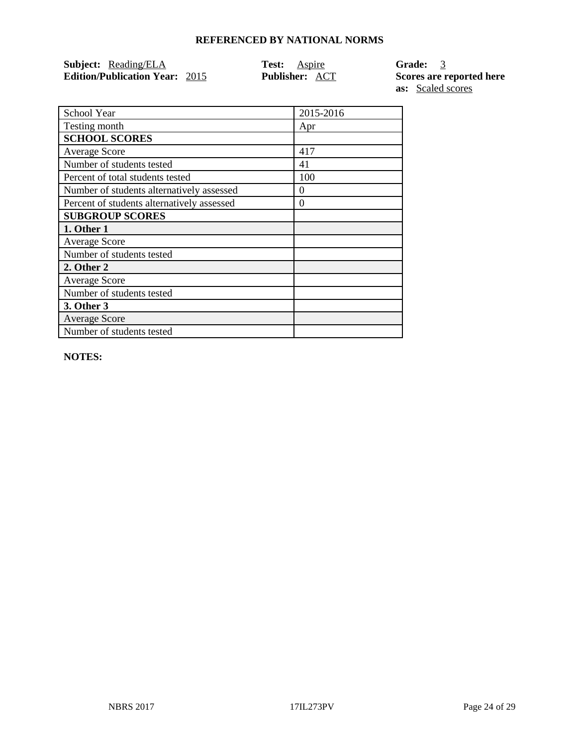| Subject: Reading/ELA                  | <b>Test:</b> Aspire   | Grade: 3                 |
|---------------------------------------|-----------------------|--------------------------|
| <b>Edition/Publication Year: 2015</b> | <b>Publisher: ACT</b> | Scores are reported here |

**as:** Scaled scores

| School Year                                | 2015-2016 |
|--------------------------------------------|-----------|
| Testing month                              | Apr       |
| <b>SCHOOL SCORES</b>                       |           |
| <b>Average Score</b>                       | 417       |
| Number of students tested                  | 41        |
| Percent of total students tested           | 100       |
| Number of students alternatively assessed  | $\theta$  |
| Percent of students alternatively assessed | $\Omega$  |
| <b>SUBGROUP SCORES</b>                     |           |
| 1. Other 1                                 |           |
| <b>Average Score</b>                       |           |
| Number of students tested                  |           |
| 2. Other 2                                 |           |
| <b>Average Score</b>                       |           |
| Number of students tested                  |           |
| 3. Other 3                                 |           |
| <b>Average Score</b>                       |           |
| Number of students tested                  |           |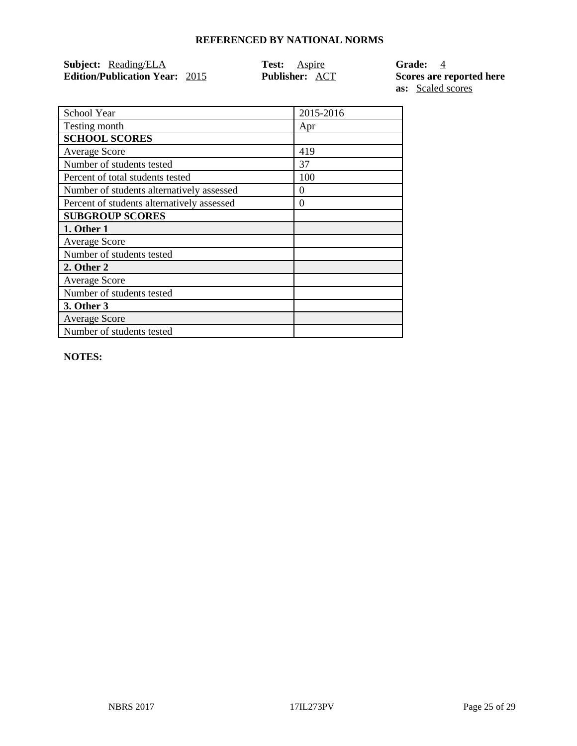| <b>Subject:</b> Reading/ELA           | <b>Test:</b> Aspire   | Gr  |
|---------------------------------------|-----------------------|-----|
| <b>Edition/Publication Year: 2015</b> | <b>Publisher: ACT</b> | Sco |

**Fade:** <u>4</u> **Edition Example 1 Publishers Publishers Bubb**ishers **are reported here as:** Scaled scores

| School Year                                | 2015-2016 |
|--------------------------------------------|-----------|
| Testing month                              | Apr       |
| <b>SCHOOL SCORES</b>                       |           |
| <b>Average Score</b>                       | 419       |
| Number of students tested                  | 37        |
| Percent of total students tested           | 100       |
| Number of students alternatively assessed  | $\theta$  |
| Percent of students alternatively assessed | $\theta$  |
| <b>SUBGROUP SCORES</b>                     |           |
| 1. Other 1                                 |           |
| <b>Average Score</b>                       |           |
| Number of students tested                  |           |
| 2. Other 2                                 |           |
| <b>Average Score</b>                       |           |
| Number of students tested                  |           |
| 3. Other 3                                 |           |
| <b>Average Score</b>                       |           |
| Number of students tested                  |           |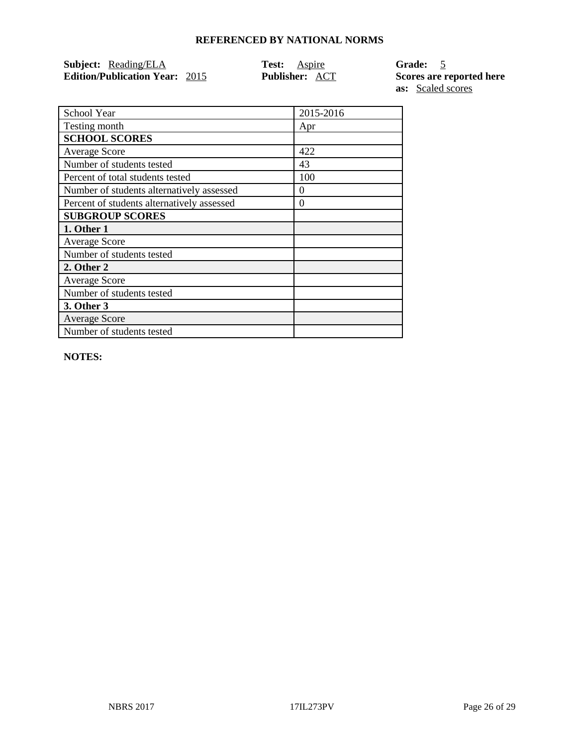| <b>Subject:</b> Reading/ELA           | <b>Test:</b> Aspire   |  |
|---------------------------------------|-----------------------|--|
| <b>Edition/Publication Year: 2015</b> | <b>Publisher: ACT</b> |  |

**Subject:** Reading/ELA **Test:** Aspire **Grade:** 5 **Edition Edition Publishers Edition Publication Section Publication Section Publication Section Publication Section Publication Section Publication Section Publication Section Publication Section Section Publicatio as:** Scaled scores

| School Year                                | 2015-2016 |
|--------------------------------------------|-----------|
| Testing month                              | Apr       |
| <b>SCHOOL SCORES</b>                       |           |
| <b>Average Score</b>                       | 422       |
| Number of students tested                  | 43        |
| Percent of total students tested           | 100       |
| Number of students alternatively assessed  | 0         |
| Percent of students alternatively assessed | 0         |
| <b>SUBGROUP SCORES</b>                     |           |
| 1. Other 1                                 |           |
| <b>Average Score</b>                       |           |
| Number of students tested                  |           |
| 2. Other 2                                 |           |
| <b>Average Score</b>                       |           |
| Number of students tested                  |           |
| 3. Other 3                                 |           |
| <b>Average Score</b>                       |           |
| Number of students tested                  |           |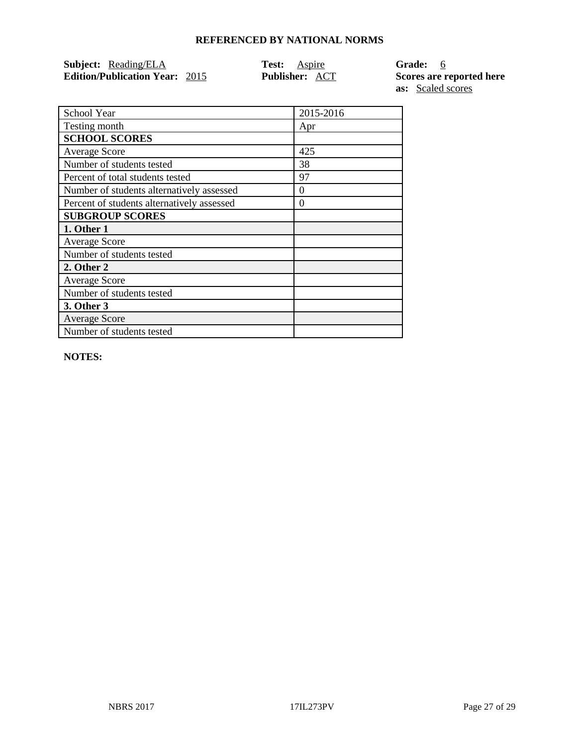| <b>Subject:</b> Reading/ELA           | <b>Test:</b> Aspire   |  |
|---------------------------------------|-----------------------|--|
| <b>Edition/Publication Year: 2015</b> | <b>Publisher: ACT</b> |  |

**Grade: 6 Edition Excores are reported here as:** Scaled scores

| School Year                                | 2015-2016 |
|--------------------------------------------|-----------|
| Testing month                              | Apr       |
| <b>SCHOOL SCORES</b>                       |           |
| <b>Average Score</b>                       | 425       |
| Number of students tested                  | 38        |
| Percent of total students tested           | 97        |
| Number of students alternatively assessed  | $\theta$  |
| Percent of students alternatively assessed | $\theta$  |
| <b>SUBGROUP SCORES</b>                     |           |
| 1. Other 1                                 |           |
| <b>Average Score</b>                       |           |
| Number of students tested                  |           |
| 2. Other 2                                 |           |
| <b>Average Score</b>                       |           |
| Number of students tested                  |           |
| 3. Other 3                                 |           |
| <b>Average Score</b>                       |           |
| Number of students tested                  |           |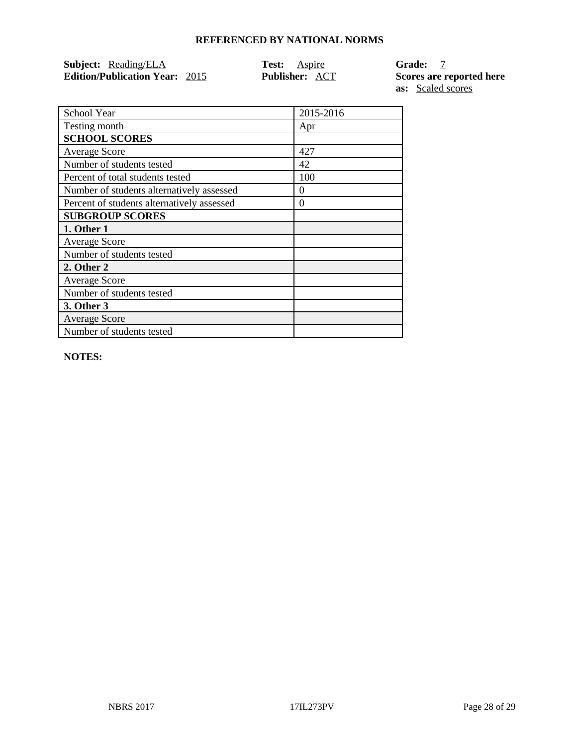| Subject: Reading/ELA                  | <b>Test:</b> Aspire   | Grade: 7                 |
|---------------------------------------|-----------------------|--------------------------|
| <b>Edition/Publication Year: 2015</b> | <b>Publisher: ACT</b> | Scores are reported here |

**as:** Scaled scores

| School Year                                | 2015-2016 |
|--------------------------------------------|-----------|
| Testing month                              | Apr       |
| <b>SCHOOL SCORES</b>                       |           |
| <b>Average Score</b>                       | 427       |
| Number of students tested                  | 42        |
| Percent of total students tested           | 100       |
| Number of students alternatively assessed  | 0         |
| Percent of students alternatively assessed | $\theta$  |
| <b>SUBGROUP SCORES</b>                     |           |
| 1. Other 1                                 |           |
| <b>Average Score</b>                       |           |
| Number of students tested                  |           |
| 2. Other 2                                 |           |
| <b>Average Score</b>                       |           |
| Number of students tested                  |           |
| 3. Other 3                                 |           |
| <b>Average Score</b>                       |           |
| Number of students tested                  |           |